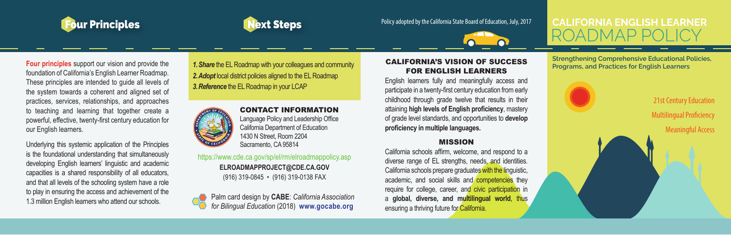



# Four Principles **Principles** Policy adopted by the California State Board of Education, July, 2017



# **CALIFORNIA ENGLISH LEARNER** ROADMAP POLICY

**Four principles** support our vision and provide the foundation of California's English Learner Roadmap. These principles are intended to guide all levels of the system towards a coherent and aligned set of practices, services, relationships, and approaches to teaching and learning that together create a powerful, effective, twenty-first century education for our English learners.

Underlying this systemic application of the Principles is the foundational understanding that simultaneously developing English learners' linguistic and academic capacities is a shared responsibility of all educators, and that all levels of the schooling system have a role to play in ensuring the access and achievement of the 1.3 million English learners who attend our schools.

*1.Share* the EL Roadmap with your colleagues and community *2.Adopt* local district policies aligned to the EL Roadmap *3.Reference* the EL Roadmap in your LCAP



CONTACT INFORMATION Language Policy and Leadership Office California Department of Education 1430 N Street, Room 2204 Sacramento, CA 95814

https://www.cde.ca.gov/sp/el/rm/elroadmappolicy.asp **ELROADMAPPROJECT@CDE.CA.GOV** (916) 319-0845 • (916) 319-0138 FAX

Palm card design by **CABE**: *California Association for Bilingual Education* (2018) **www.gocabe.org**

#### CALIFORNIA'S VISION OF SUCCESS FOR ENGLISH LEARNERS

English learners fully and meaningfully access and participate in a twenty-first century education from early childhood through grade twelve that results in their attaining **high levels of English proficiency**, mastery of grade level standards, and opportunities to **develop proficiency in multiple languages.**

#### MISSION

California schools affirm, welcome, and respond to a diverse range of EL strengths, needs, and identities. California schools prepare graduates with the linguistic, academic, and social skills and competencies they require for college, career, and civic participation in a **global, diverse, and multilingual world**, thus ensuring a thriving future for California.

**Strengthening Comprehensive Educational Policies, Programs, and Practices for English Learners**

> 21st Century Education Multilingual Proficiency

Meaningful Access